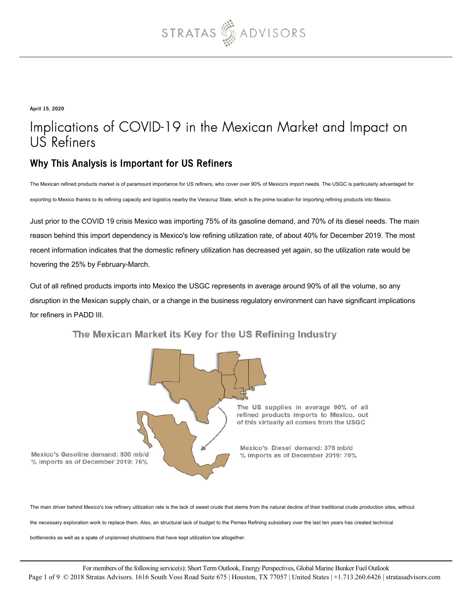

April 15, 2020

## Implications of COVID-19 in the Mexican Market and Impact on US Refiners

## Why This Analysis is Important for US Refiners

The Mexican refined products market is of paramount importance for US refiners, who cover over 90% of Mexico's import needs. The USGC is particularly advantaged for exporting to Mexico thanks to its refining capacity and logistics nearby the Veracruz State, which is the prime location for importing refining products into Mexico.

Just prior to the COVID 19 crisis Mexico was importing 75% of its gasoline demand, and 70% of its diesel needs. The main reason behind this import dependency is Mexico's low refining utilization rate, of about 40% for December 2019. The most recent information indicates that the domestic refinery utilization has decreased yet again, so the utilization rate would be hovering the 25% by February-March.

Out of all refined products imports into Mexico the USGC represents in average around 90% of all the volume, so any disruption in the Mexican supply chain, or a change in the business regulatory environment can have significant implications for refiners in PADD III.



The Mexican Market its Key for the US Refining Industry

Mexico's Gasoline demand: 800 mb/d % imports as of December 2019: 76%

The main driver behind Mexico's low refinery utilization rate is the lack of sweet crude that stems from the natural decline of their traditional crude production sites, without the necessary exploration work to replace them. Also, an structural lack of budget to the Pemex Refining subsidiary over the last ten years has created technical bottlenecks as well as a spate of unplanned shutdowns that have kept utilization low altogether.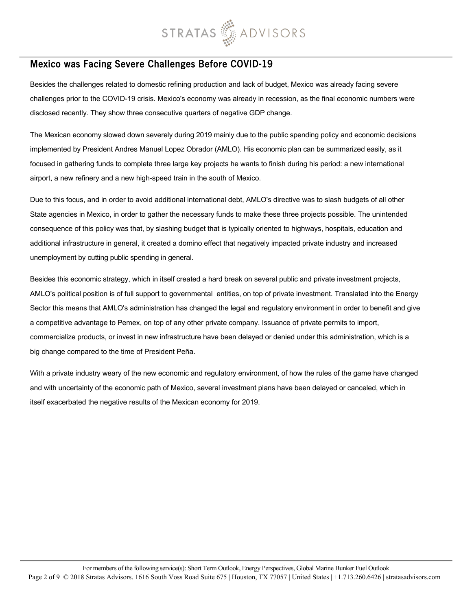

## Mexico was Facing Severe Challenges Before COVID-19

Besides the challenges related to domestic refining production and lack of budget, Mexico was already facing severe challenges prior to the COVID-19 crisis. Mexico's economy was already in recession, as the final economic numbers were disclosed recently. They show three consecutive quarters of negative GDP change.

The Mexican economy slowed down severely during 2019 mainly due to the public spending policy and economic decisions implemented by President Andres Manuel Lopez Obrador (AMLO). His economic plan can be summarized easily, as it focused in gathering funds to complete three large key projects he wants to finish during his period: a new international airport, a new refinery and a new high-speed train in the south of Mexico.

Due to this focus, and in order to avoid additional international debt, AMLO's directive was to slash budgets of all other State agencies in Mexico, in order to gather the necessary funds to make these three projects possible. The unintended consequence of this policy was that, by slashing budget that is typically oriented to highways, hospitals, education and additional infrastructure in general, it created a domino effect that negatively impacted private industry and increased unemployment by cutting public spending in general.

Besides this economic strategy, which in itself created a hard break on several public and private investment projects, AMLO's political position is of full support to governmental entities, on top of private investment. Translated into the Energy Sector this means that AMLO's administration has changed the legal and regulatory environment in order to benefit and give a competitive advantage to Pemex, on top of any other private company. Issuance of private permits to import, commercialize products, or invest in new infrastructure have been delayed or denied under this administration, which is a big change compared to the time of President Peña.

With a private industry weary of the new economic and regulatory environment, of how the rules of the game have changed and with uncertainty of the economic path of Mexico, several investment plans have been delayed or canceled, which in itself exacerbated the negative results of the Mexican economy for 2019.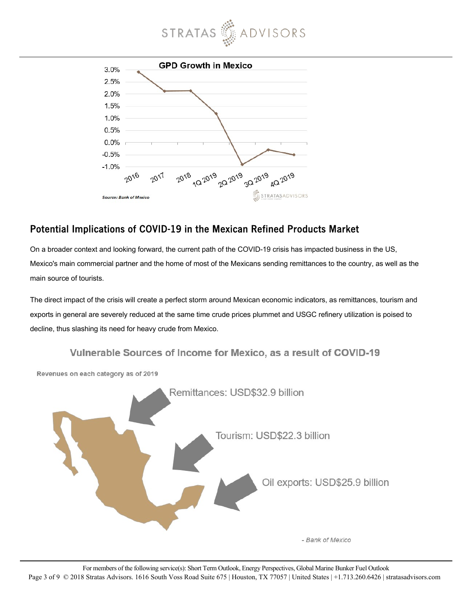



## Potential Implications of COVID-19 in the Mexican Refined Products Market

On a broader context and looking forward, the current path of the COVID-19 crisis has impacted business in the US, Mexico's main commercial partner and the home of most of the Mexicans sending remittances to the country, as well as the main source of tourists.

The direct impact of the crisis will create a perfect storm around Mexican economic indicators, as remittances, tourism and exports in general are severely reduced at the same time crude prices plummet and USGC refinery utilization is poised to decline, thus slashing its need for heavy crude from Mexico.



Vulnerable Sources of Income for Mexico, as a result of COVID-19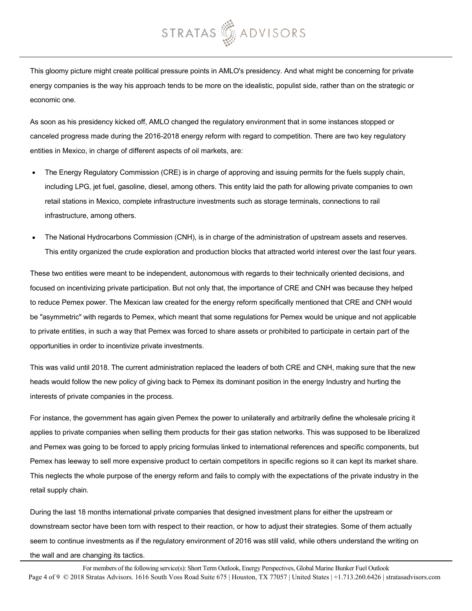# STRATAS **ADVISORS**

This gloomy picture might create political pressure points in AMLO's presidency. And what might be concerning for private energy companies is the way his approach tends to be more on the idealistic, populist side, rather than on the strategic or economic one.

As soon as his presidency kicked off, AMLO changed the regulatory environment that in some instances stopped or canceled progress made during the 2016-2018 energy reform with regard to competition. There are two key regulatory entities in Mexico, in charge of different aspects of oil markets, are:

- The Energy Regulatory Commission (CRE) is in charge of approving and issuing permits for the fuels supply chain, including LPG, jet fuel, gasoline, diesel, among others. This entity laid the path for allowing private companies to own retail stations in Mexico, complete infrastructure investments such as storage terminals, connections to rail infrastructure, among others.
- The National Hydrocarbons Commission (CNH), is in charge of the administration of upstream assets and reserves. This entity organized the crude exploration and production blocks that attracted world interest over the last four years.

These two entities were meant to be independent, autonomous with regards to their technically oriented decisions, and focused on incentivizing private participation. But not only that, the importance of CRE and CNH was because they helped to reduce Pemex power. The Mexican law created for the energy reform specifically mentioned that CRE and CNH would be "asymmetric" with regards to Pemex, which meant that some regulations for Pemex would be unique and not applicable to private entities, in such a way that Pemex was forced to share assets or prohibited to participate in certain part of the opportunities in order to incentivize private investments.

This was valid until 2018. The current administration replaced the leaders of both CRE and CNH, making sure that the new heads would follow the new policy of giving back to Pemex its dominant position in the energy Industry and hurting the interests of private companies in the process.

For instance, the government has again given Pemex the power to unilaterally and arbitrarily define the wholesale pricing it applies to private companies when selling them products for their gas station networks. This was supposed to be liberalized and Pemex was going to be forced to apply pricing formulas linked to international references and specific components, but Pemex has leeway to sell more expensive product to certain competitors in specific regions so it can kept its market share. This neglects the whole purpose of the energy reform and fails to comply with the expectations of the private industry in the retail supply chain.

During the last 18 months international private companies that designed investment plans for either the upstream or downstream sector have been torn with respect to their reaction, or how to adjust their strategies. Some of them actually seem to continue investments as if the regulatory environment of 2016 was still valid, while others understand the writing on the wall and are changing its tactics.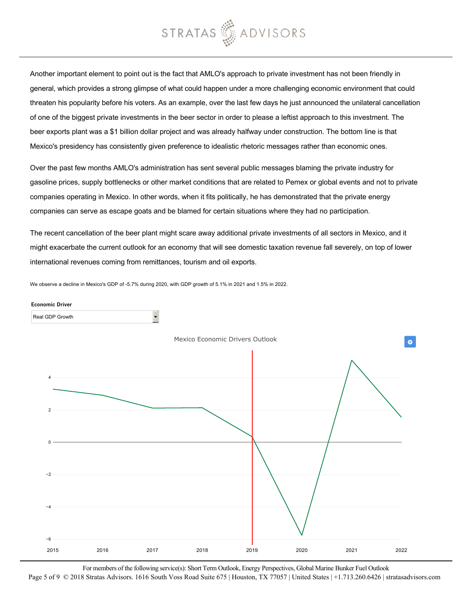# STRATAS & ADVISORS

Another important element to point out is the fact that AMLO's approach to private investment has not been friendly in general, which provides a strong glimpse of what could happen under a more challenging economic environment that could threaten his popularity before his voters. As an example, over the last few days he just announced the unilateral cancellation of one of the biggest private investments in the beer sector in order to please a leftist approach to this investment. The beer exports plant was a \$1 billion dollar project and was already halfway under construction. The bottom line is that Mexico's presidency has consistently given preference to idealistic rhetoric messages rather than economic ones.

Over the past few months AMLO's administration has sent several public messages blaming the private industry for gasoline prices, supply bottlenecks or other market conditions that are related to Pemex or global events and not to private companies operating in Mexico. In other words, when it fits politically, he has demonstrated that the private energy companies can serve as escape goats and be blamed for certain situations where they had no participation.

The recent cancellation of the beer plant might scare away additional private investments of all sectors in Mexico, and it might exacerbate the current outlook for an economy that will see domestic taxation revenue fall severely, on top of lower international revenues coming from remittances, tourism and oil exports.

We observe a decline in Mexico's GDP of -5.7% during 2020, with GDP growth of 5.1% in 2021 and 1.5% in 2022.

#### Economic Driver



For members of the following service(s): Short Term Outlook, Energy Perspectives, Global Marine Bunker Fuel Outlook Page 5 of 9 © 2018 Stratas Advisors. 1616 South Voss Road Suite 675 | Houston, TX 77057 | United States | +1.713.260.6426 | stratasadvisors.com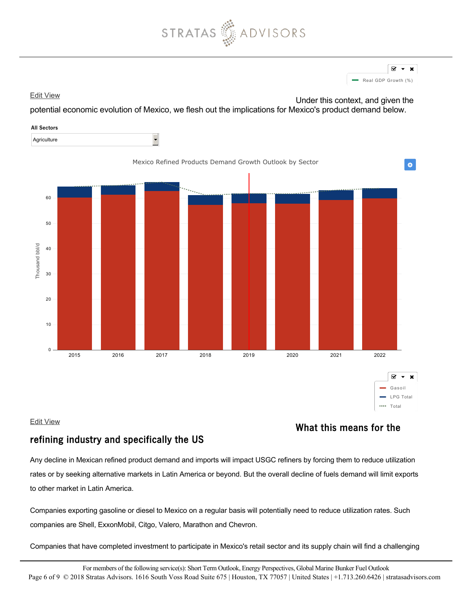



[Edit View](https://stratas.shooju.com/#views/uueyovkobzestubqrnuj/edit)

Under this context, and given the

potential economic evolution of Mexico, we flesh out the implications for Mexico's product demand below.

#### All Sectors





#### [Edit View](https://stratas.shooju.com/#views/appcnrxshlvngkbjcits/edit)

## What this means for the

## refining industry and specifically the US

Any decline in Mexican refined product demand and imports will impact USGC refiners by forcing them to reduce utilization rates or by seeking alternative markets in Latin America or beyond. But the overall decline of fuels demand will limit exports to other market in Latin America.

Companies exporting gasoline or diesel to Mexico on a regular basis will potentially need to reduce utilization rates. Such companies are Shell, ExxonMobil, Citgo, Valero, Marathon and Chevron.

Companies that have completed investment to participate in Mexico's retail sector and its supply chain will find a challenging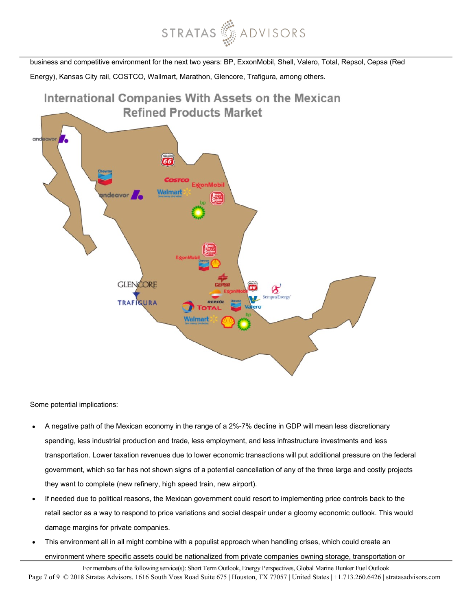

business and competitive environment for the next two years: BP, ExxonMobil, Shell, Valero, Total, Repsol, Cepsa (Red

Energy), Kansas City rail, COSTCO, Wallmart, Marathon, Glencore, Trafigura, among others.



Some potential implications:

- A negative path of the Mexican economy in the range of a 2%-7% decline in GDP will mean less discretionary spending, less industrial production and trade, less employment, and less infrastructure investments and less transportation. Lower taxation revenues due to lower economic transactions will put additional pressure on the federal government, which so far has not shown signs of a potential cancellation of any of the three large and costly projects they want to complete (new refinery, high speed train, new airport).
- If needed due to political reasons, the Mexican government could resort to implementing price controls back to the retail sector as a way to respond to price variations and social despair under a gloomy economic outlook. This would damage margins for private companies.
- This environment all in all might combine with a populist approach when handling crises, which could create an environment where specific assets could be nationalized from private companies owning storage, transportation or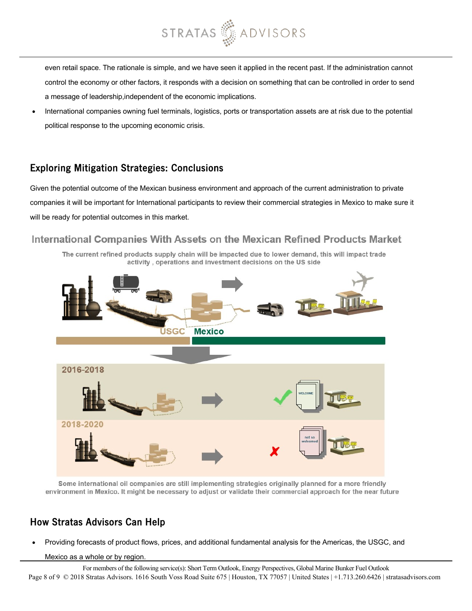

even retail space. The rationale is simple, and we have seen it applied in the recent past. If the administration cannot control the economy or other factors, it responds with a decision on something that can be controlled in order to send a message of leadership,independent of the economic implications.

International companies owning fuel terminals, logistics, ports or transportation assets are at risk due to the potential political response to the upcoming economic crisis.

## Exploring Mitigation Strategies: Conclusions

Given the potential outcome of the Mexican business environment and approach of the current administration to private companies it will be important for International participants to review their commercial strategies in Mexico to make sure it will be ready for potential outcomes in this market.

### International Companies With Assets on the Mexican Refined Products Market

The current refined products supply chain will be impacted due to lower demand, this will impact trade activity, operations and investment decisions on the US side



Some international oil companies are still implementing strategies originally planned for a more friendly environment in Mexico. It might be necessary to adjust or validate their commercial approach for the near future

## How Stratas Advisors Can Help

Providing forecasts of product flows, prices, and additional fundamental analysis for the Americas, the USGC, and

Mexico as a whole or by region.